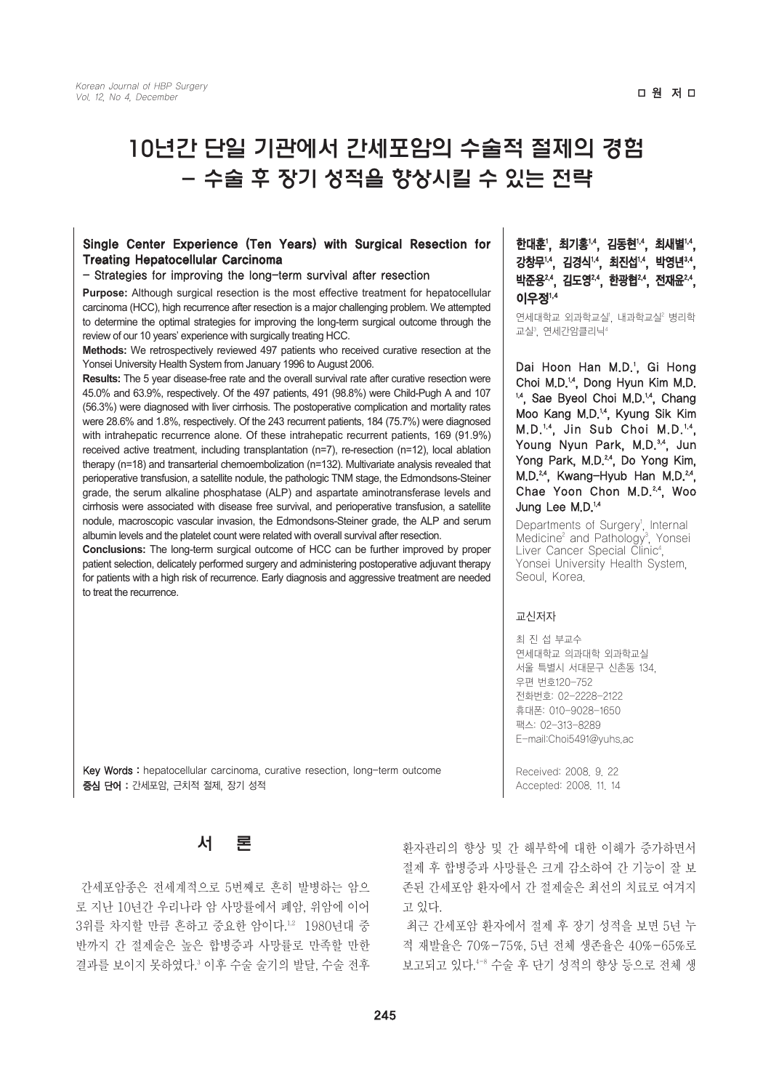# 10년간 단일 기관에서 간세포암의 수술적 절제의 경험 - 수술 후 장기 성적을 향상시킬 수 있는 전략

#### Single Center Experience (Ten Years) with Surgical Resection for Treating Hepatocellular Carcinoma

#### - Strategies for improving the long-term survival after resection

Purpose: Although surgical resection is the most effective treatment for hepatocellular **이우**정<sup>1,4</sup> carcinoma (HCC), high recurrence after resection is a major challenging problem. We attempted to determine the optimal strategies for improving the long-term surgical outcome through the review of our 10 years' experience with surgically treating HCC.

**Methods:** We retrospectively reviewed 497 patients who received curative resection at the Yonsei University Health System from January 1996 to August 2006.

**Results:** The 5 year disease-free rate and the overall survival rate after curative resection were 45.0% and 63.9%, respectively. Of the 497 patients, 491 (98.8%) were Child-Pugh A and 107 (56.3%) were diagnosed with liver cirrhosis. The postoperative complication and mortality rates were 28.6% and 1.8%, respectively. Of the 243 recurrent patients, 184 (75.7%) were diagnosed with intrahepatic recurrence alone. Of these intrahepatic recurrent patients, 169 (91.9%) received active treatment, including transplantation (n=7), re-resection (n=12), local ablation therapy (n=18) and transarterial chemoembolization (n=132). Multivariate analysis revealed that perioperative transfusion, a satellite nodule, the pathologic TNM stage, the Edmondsons-Steiner grade, the serum alkaline phosphatase (ALP) and aspartate aminotransferase levels and cirrhosis were associated with disease free survival, and perioperative transfusion, a satellite nodule, macroscopic vascular invasion, the Edmondsons-Steiner grade, the ALP and serum albumin levels and the platelet count were related with overall survival after resection.

**Conclusions:** The long-term surgical outcome of HCC can be further improved by proper patient selection, delicately performed surgery and administering postoperative adjuvant therapy for patients with a high risk of recurrence. Early diagnosis and aggressive treatment are needed to treat the recurrence.

Key Words : hepatocellular carcinoma, curative resection, long-term outcome 증심 단어 : 간세포암, 근치적 절제, 장기 성적



간세포암종은 전세계적으로 5번째로 흔히 발병하는 암으 로 지난 10년간 우리나라 암 사망률에서 폐암, 위암에 이어 3위를 차지할 만큼 흔하고 중요한 암이다.1,2 1980년대 중 반까지 간 절제술은 높은 합병증과 사망률로 만족할 만한 결과를 보이지 못하였다.3 이후 수술 술기의 발달, 수술 전후 한대훈', 최기홍'<sup>4</sup>, 김동현'<sup>,4</sup>, 최새별'<sup>,4</sup>, 강창무'^, 김경식'^, 최진섭'^, 박영년'^^, 박준용 4, 김도영 4, 한광협 4, 전재윤 24,

연세대학교 외과학교실', 내과학교실' 병리학 교실º, 연세간암클리닉ª

Dai Hoon Han M.D.<sup>1</sup>, Gi Hong Choi M.D.<sup>14</sup>, Dong Hyun Kim M.D. <sup>14</sup>, Sae Byeol Choi M.D.<sup>14</sup>, Chang Moo Kang M.D.<sup>14</sup>, Kyung Sik Kim  $M.D.^{1,4}$ , Jin Sub Choi M.D.<sup>1,4</sup>, Young Nyun Park, M.D.<sup>3,4</sup>, Jun Yong Park, M.D.<sup>24</sup>, Do Yong Kim, M.D.<sup>24</sup>, Kwang-Hyub Han M.D.<sup>24</sup>, Chae Yoon Chon M.D.<sup>2,4</sup>, Woo Jung Lee M.D.<sup>14</sup>

Departments of Surgery<sup>1</sup>, Internal Medicine<sup>2</sup> and Pathology<sup>3</sup>, Yonsei Liver Cancer Special Clinic<sup>4</sup>, Yonsei University Health System, Seoul, Korea.

#### 교신저자

최 진 섭 부교수 연세대학교 의과대학 외과학교실 서울 특별시 서대문구 신촌동 134, 우편 번호120-752 전화번호: 02-2228-2122 휴대폰: 010-9028-1650 팩스: 02-313-8289 E-mail:Choi5491@yuhs.ac

Received: 2008. 9. 22 Accepted: 2008. 11. 14

환자관리의 향상 및 간 해부학에 대한 이해가 증가하면서 절제 후 합병증과 사망률은 크게 감소하여 간 기능이 잘 보 존된 간세포암 환자에서 간 절제술은 최선의 치료로 여겨지 고 있다.

최근 간세포암 환자에서 절제 후 장기 성적을 보면 5년 누 적 재발율은 70%-75%, 5년 전체 생존율은 40%-65%로 보고되고 있다.4-8 수술 후 단기 성적의 향상 등으로 전체 생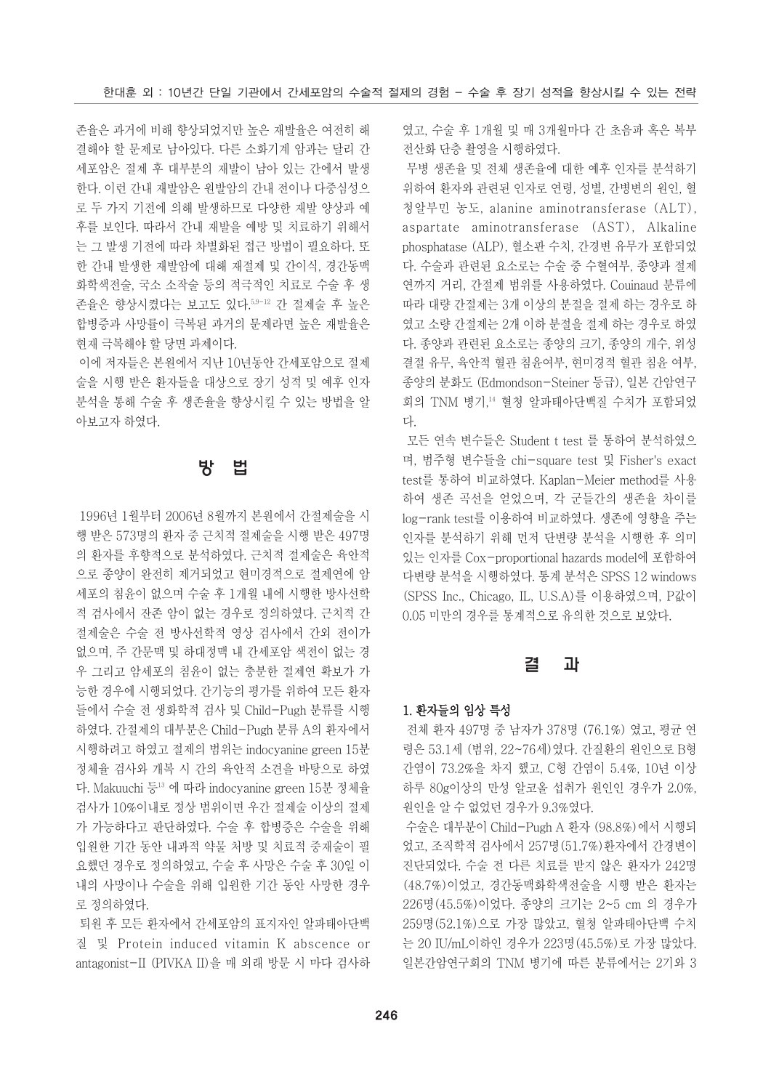존율은 과거에 비해 향상되었지만 높은 재발율은 여전히 해 결해야 할 문제로 남아있다. 다른 소화기계 암과는 달리 간 세포암은 절제 후 대부분의 재발이 남아 있는 간에서 발생 한다. 이런 간내 재발암은 원발암의 간내 전이나 다중심성으 로 두 가지 기전에 의해 발생하므로 다양한 재발 양상과 예 후를 보인다. 따라서 간내 재발을 예방 및 치료하기 위해서 는 그 발생 기전에 따라 차별화된 접근 방법이 필요하다. 또 한 간내 발생한 재발암에 대해 재절제 및 간이식, 경간동맥 화학색전술, 국소 소작술 등의 적극적인 치료로 수술 후 생 존율은 향상시켰다는 보고도 있다.5,9-12 간 절제술 후 높은 합병증과 사망률이 극복된 과거의 문제라면 높은 재발율은 현재 극복해야 할 당면 과제이다.

이에 저자들은 본원에서 지난 10년동안 간세포암으로 절제 술을 시행 받은 환자들을 대상으로 장기 성적 및 예후 인자 분석을 통해 수술 후 생존율을 향상시킬 수 있는 방법을 알 아보고자 하였다.

## 방 법

1996년 1월부터 2006년 8월까지 본원에서 간절제술을 시 행 받은 573명의 환자 중 근치적 절제술을 시행 받은 497명 의 환자를 후향적으로 분석하였다. 근치적 절제술은 육안적 으로 종양이 완전히 제거되었고 현미경적으로 절제연에 암 세포의 침윤이 없으며 수술 후 1개월 내에 시행한 방사선학 적 검사에서 잔존 암이 없는 경우로 정의하였다. 근치적 간 절제술은 수술 전 방사선학적 영상 검사에서 간외 전이가 없으며, 주 간문맥 및 하대정맥 내 간세포암 색전이 없는 경 우 그리고 암세포의 침윤이 없는 충분한 절제연 확보가 가 능한 경우에 시행되었다. 간기능의 평가를 위하여 모든 환자 들에서 수술 전 생화학적 검사 및 Child-Pugh 분류를 시행 하였다. 간절제의 대부분은 Child-Pugh 분류 A의 환자에서 시행하려고 하였고 절제의 범위는 indocyanine green 15분 정체율 검사와 개복 시 간의 육안적 소견을 바탕으로 하였 다. Makuuchi 등13 에 따라 indocyanine green 15분 정체율 검사가 10%이내로 정상 범위이면 우간 절제술 이상의 절제 가 가능하다고 판단하였다. 수술 후 합병증은 수술을 위해 입원한 기간 동안 내과적 약물 처방 및 치료적 중재술이 필 요했던 경우로 정의하였고, 수술 후 사망은 수술 후 30일 이 내의 사망이나 수술을 위해 입원한 기간 동안 사망한 경우 로 정의하였다.

퇴원 후 모든 환자에서 간세포암의 표지자인 알파태아단백 질 및 Protein induced vitamin K abscence or antagonist-II (PIVKA II)을 매 외래 방문 시 마다 검사하 였고, 수술 후 1개월 및 매 3개월마다 간 초음파 혹은 복부 전산화 단층 촬영을 시행하였다.

무병 생존율 및 전체 생존율에 대한 예후 인자를 분석하기 위하여 환자와 관련된 인자로 연령, 성별, 간병변의 원인, 혈 청알부민 농도, alanine aminotransferase (ALT), aspartate aminotransferase (AST), Alkaline phosphatase (ALP), 혈소판 수치, 간경변 유무가 포함되었 다. 수술과 관련된 요소로는 수술 중 수혈여부, 종양과 절제 연까지 거리, 간절제 범위를 사용하였다. Couinaud 분류에 따라 대량 간절제는 3개 이상의 분절을 절제 하는 경우로 하 였고 소량 간절제는 2개 이하 분절을 절제 하는 경우로 하였 다. 종양과 관련된 요소로는 종양의 크기, 종양의 개수, 위성 결절 유무, 육안적 혈관 침윤여부, 현미경적 혈관 침윤 여부, 종양의 분화도 (Edmondson-Steiner 등급), 일본 간암연구 회의 TNM 병기,14 혈청 알파태아단백질 수치가 포함되었 다.

모든 연속 변수들은 Student t test 를 통하여 분석하였으 며, 범주형 변수들을 chi-square test 및 Fisher's exact test를 통하여 비교하였다. Kaplan-Meier method를 사용 하여 생존 곡선을 얻었으며, 각 군들간의 생존율 차이를 log-rank test를 이용하여 비교하였다. 생존에 영향을 주는 인자를 분석하기 위해 먼저 단변량 분석을 시행한 후 의미 있는 인자를 Cox-proportional hazards model에 포함하여 다변량 분석을 시행하였다. 통계 분석은 SPSS 12 windows (SPSS Inc., Chicago, IL, U.S.A)를 이용하였으며, P값이 0.05 미만의 경우를 통계적으로 유의한 것으로 보았다.

## 결 과

#### 1. 환자들의 임상 특성

전체 환자 497명 중 남자가 378명 (76.1%) 였고, 평균 연 령은 53.1세 (범위, 22~76세)였다. 간질환의 원인으로 B형 간염이 73.2%을 차지 했고, C형 간염이 5.4%, 10년 이상 하루 80g이상의 만성 알코올 섭취가 원인인 경우가 2.0%, 원인을 알 수 없었던 경우가 9.3%였다.

수술은 대부분이 Child-Pugh A 환자 (98.8%)에서 시행되 었고, 조직학적 검사에서 257명(51.7%)환자에서 간경변이 진단되었다. 수술 전 다른 치료를 받지 않은 환자가 242명 (48.7%)이었고, 경간동맥화학색전술을 시행 받은 환자는 226명(45.5%)이었다. 종양의 크기는 2~5 cm 의 경우가 259명(52.1%)으로 가장 많았고, 혈청 알파태아단백 수치 는 20 IU/mL이하인 경우가 223명(45.5%)로 가장 많았다. 일본간암연구회의 TNM 병기에 따른 분류에서는 2기와 3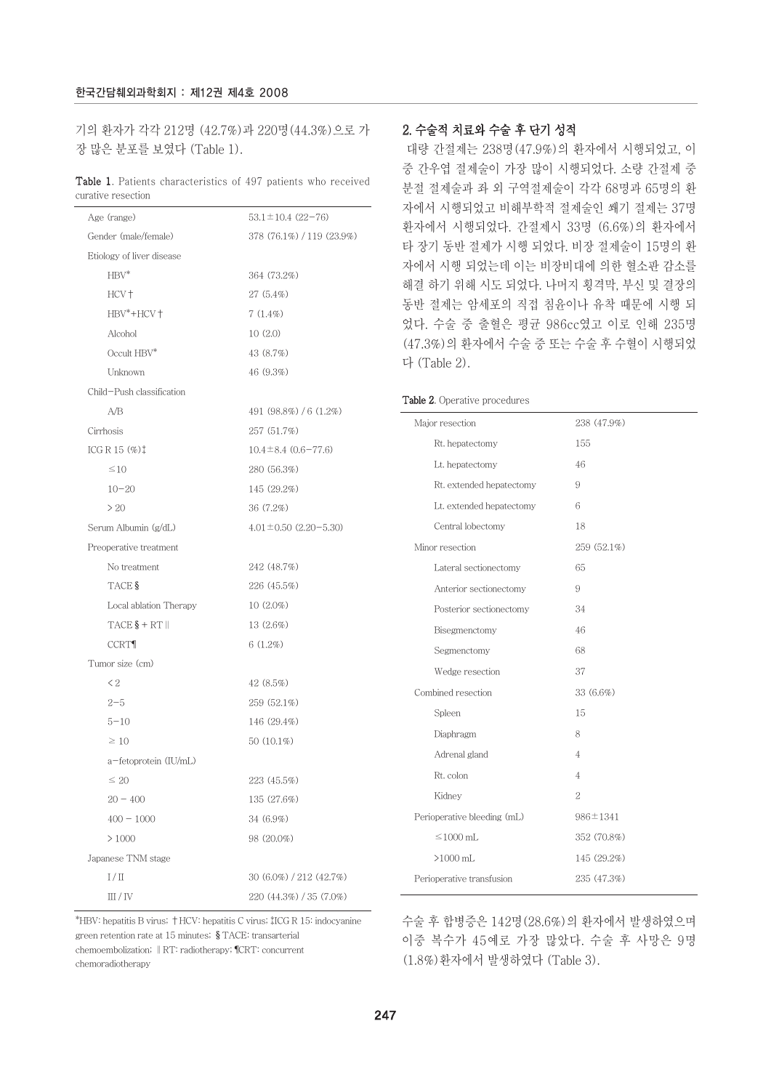기의 환자가 각각 212명 (42.7%)과 220명(44.3%)으로 가 장 많은 분포를 보였다 (Table 1).

#### Table 1. Patients characteristics of 497 patients who received curative resection

| Age (range)                                      | $53.1 \pm 10.4$ (22-76)     |  |  |  |  |  |
|--------------------------------------------------|-----------------------------|--|--|--|--|--|
| Gender (male/female)                             | 378 (76.1%) / 119 (23.9%)   |  |  |  |  |  |
| Etiology of liver disease                        |                             |  |  |  |  |  |
| $HBV^*$                                          | 364 (73.2%)                 |  |  |  |  |  |
| HCV +                                            | $27(5.4\%)$                 |  |  |  |  |  |
| HBV*+HCV+                                        | $7(1.4\%)$                  |  |  |  |  |  |
| Alcohol                                          | 10(2.0)                     |  |  |  |  |  |
| Occult HBV*                                      | 43 (8.7%)                   |  |  |  |  |  |
| Unknown                                          | 46 (9.3%)                   |  |  |  |  |  |
| Child-Push classification                        |                             |  |  |  |  |  |
| A/B                                              | 491 (98.8%) / 6 (1.2%)      |  |  |  |  |  |
| Cirrhosis                                        | 257 (51.7%)                 |  |  |  |  |  |
| ICG R 15 $(\%)$ <sup><math>\ddagger</math></sup> | $10.4 \pm 8.4 (0.6 - 77.6)$ |  |  |  |  |  |
| $\leq 10$                                        | 280 (56.3%)                 |  |  |  |  |  |
| $10 - 20$                                        | 145 (29.2%)                 |  |  |  |  |  |
| > 20                                             | 36 (7.2%)                   |  |  |  |  |  |
| Serum Albumin (g/dL)                             | $4.01 \pm 0.50$ (2.20-5.30) |  |  |  |  |  |
| Preoperative treatment                           |                             |  |  |  |  |  |
| No treatment                                     | 242 (48.7%)                 |  |  |  |  |  |
| TACE §                                           | 226 (45.5%)                 |  |  |  |  |  |
| Local ablation Therapy                           | $10(2.0\%)$                 |  |  |  |  |  |
| $TACE$ $$+ RT$                                   | 13 (2.6%)                   |  |  |  |  |  |
| <b>CCRT</b>                                      | $6(1.2\%)$                  |  |  |  |  |  |
| Tumor size (cm)                                  |                             |  |  |  |  |  |
| $\leq$ 2                                         | 42(8.5%)                    |  |  |  |  |  |
| $2 - 5$                                          | 259 (52.1%)                 |  |  |  |  |  |
| $5 - 10$                                         | 146 (29.4%)                 |  |  |  |  |  |
| $\geq 10$                                        | 50 (10.1%)                  |  |  |  |  |  |
| a-fetoprotein (IU/mL)                            |                             |  |  |  |  |  |
| $\leq 20$                                        | 223 (45.5%)                 |  |  |  |  |  |
| $20 - 400$                                       | 135 (27.6%)                 |  |  |  |  |  |
| $400 - 1000$                                     | 34 (6.9%)                   |  |  |  |  |  |
| >1000                                            | 98 (20.0%)                  |  |  |  |  |  |
| Japanese TNM stage                               |                             |  |  |  |  |  |
| $1/\Pi$                                          | 30 (6.0%) / 212 (42.7%)     |  |  |  |  |  |
| III/IV                                           | 220 (44.3%) / 35 (7.0%)     |  |  |  |  |  |

#### \*HBV: hepatitis B virus; †HCV: hepatitis C virus; #ICG R 15: indocyanine green retention rate at 15 minutes; TACE: transarterial chemoembolization; ‖RT: radiotherapy; ¶CRT: concurrent chemoradiotherapy

## 2. 수술적 치료와 수술 후 단기 성적

대량 간절제는 238명(47.9%)의 환자에서 시행되었고, 이 중 간우엽 절제술이 가장 많이 시행되었다. 소량 간절제 중 분절 절제술과 좌 외 구역절제술이 각각 68명과 65명의 환 자에서 시행되었고 비해부학적 절제술인 쐐기 절제는 37명 환자에서 시행되었다. 간절제시 33명 (6.6%)의 환자에서 타 장기 동반 절제가 시행 되었다. 비장 절제술이 15명의 환 자에서 시행 되었는데 이는 비장비대에 의한 혈소판 감소를 해결 하기 위해 시도 되었다. 나머지 횡격막, 부신 및 결장의 동반 절제는 암세포의 직접 침윤이나 유착 때문에 시행 되 었다. 수술 중 출혈은 평균 986cc였고 이로 인해 235명 (47.3%)의 환자에서 수술 중 또는 수술 후 수혈이 시행되었 다 (Table 2).

#### Table 2. Operative procedures

| Major resection             | 238 (47.9%)    |
|-----------------------------|----------------|
| Rt. hepatectomy             | 155            |
| Lt. hepatectomy             | 46             |
| Rt. extended hepatectomy    | 9              |
| Lt. extended hepatectomy    | 6              |
| Central lobectomy           | 18             |
| Minor resection             | 259 (52.1%)    |
| Lateral sectionectomy       | 65             |
| Anterior sectionectomy      | 9              |
| Posterior sectionectomy     | 34             |
| Bisegmenctomy               | 46             |
| Segmenctomy                 | 68             |
| Wedge resection             | 37             |
| Combined resection          | 33 (6.6%)      |
| Spleen                      | 15             |
| Diaphragm                   | 8              |
| Adrenal gland               | $\overline{4}$ |
| Rt. colon                   | $\overline{4}$ |
| Kidney                      | $\overline{2}$ |
| Perioperative bleeding (mL) | $986 \pm 1341$ |
| $\leq$ 1000 mL              | 352 (70.8%)    |
| $>1000$ mL                  | 145 (29.2%)    |
| Perioperative transfusion   | 235 (47.3%)    |
|                             |                |

수술 후 합병증은 142명(28.6%)의 환자에서 발생하였으며 이중 복수가 45예로 가장 많았다. 수술 후 사망은 9명 (1.8%)환자에서 발생하였다 (Table 3).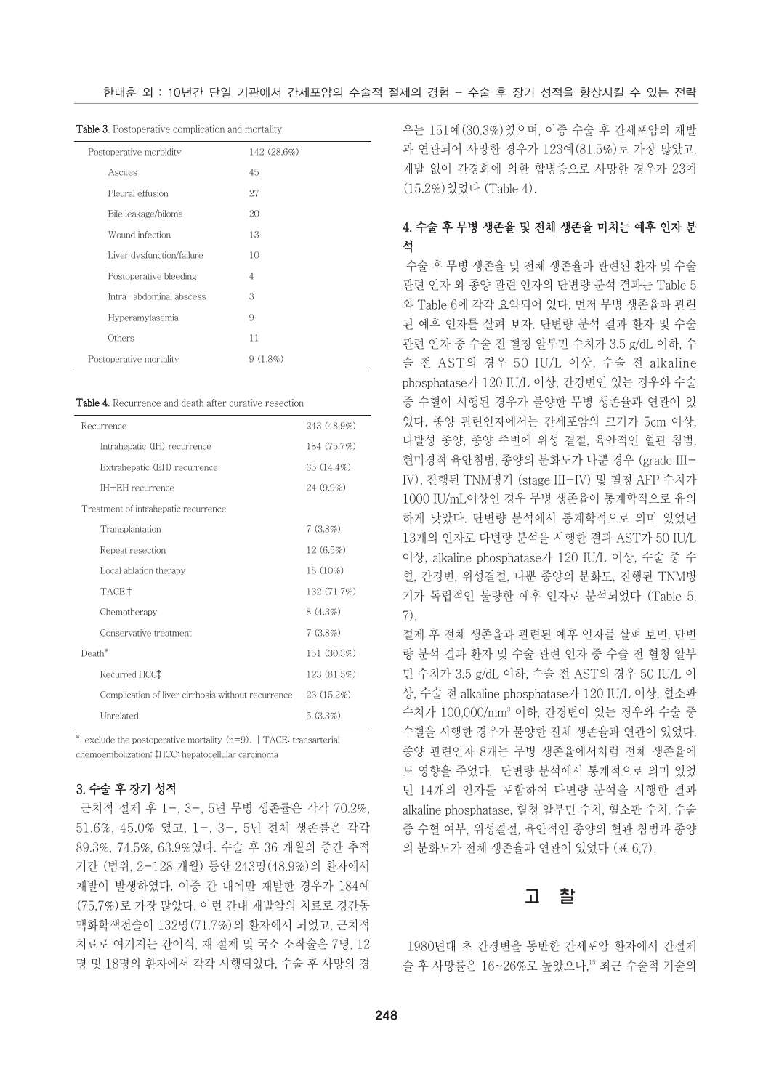| $\mathbf{u}$ as $\mathbf{v}$ . The complete complete the more than $\mathbf{v}$ |                |  |  |  |  |
|---------------------------------------------------------------------------------|----------------|--|--|--|--|
| Postoperative morbidity                                                         | 142 (28.6%)    |  |  |  |  |
| Ascites                                                                         | 45             |  |  |  |  |
| Pleural effusion                                                                | 27             |  |  |  |  |
| Bile leakage/biloma                                                             | 20             |  |  |  |  |
| Wound infection                                                                 | 13             |  |  |  |  |
| Liver dysfunction/failure                                                       | 10             |  |  |  |  |
| Postoperative bleeding                                                          | $\overline{4}$ |  |  |  |  |
| Intra-abdominal abscess                                                         | 3              |  |  |  |  |
| Hyperamylasemia                                                                 | 9              |  |  |  |  |
| Others                                                                          | 11             |  |  |  |  |
| Postoperative mortality                                                         | 9(1.8%)        |  |  |  |  |

Table 3. Postoperative complication and mortality

Table 4. Recurrence and death after curative resection

| Recurrence                                         | 243 (48.9%)  |
|----------------------------------------------------|--------------|
| Intrahepatic (IH) recurrence                       | 184 (75.7%)  |
| Extrahepatic (EH) recurrence                       | $35(14.4\%)$ |
| IH+EH recurrence                                   | $24(9.9\%)$  |
| Treatment of intrahepatic recurrence               |              |
| Transplantation                                    | $7(3.8\%)$   |
| Repeat resection                                   | 12(6.5%)     |
| Local ablation therapy                             | 18 (10%)     |
| TACE <sup>+</sup>                                  | 132 (71.7%)  |
| Chemotherapy                                       | $8(4.3\%)$   |
| Conservative treatment                             | $7(3.8\%)$   |
| Death*                                             | 151 (30.3%)  |
| Recurred HCC <sup>+</sup>                          | 123 (81.5%)  |
| Complication of liver cirrhosis without recurrence | $23(15.2\%)$ |
| Unrelated                                          | 5(3.3%)      |

\*: exclude the postoperative mortality (n=9). †TACE: transarterial chemoembolization; #HCC: hepatocellular carcinoma

## 3. 수술 후 장기 성적

근치적 절제 후 1-, 3-, 5년 무병 생존률은 각각 70.2%, 51.6%, 45.0% 였고, 1-, 3-, 5년 전체 생존률은 각각 89.3%, 74.5%, 63.9%였다. 수술 후 36 개월의 중간 추적 기간 (범위, 2-128 개월) 동안 243명(48.9%)의 환자에서 재발이 발생하였다. 이중 간 내에만 재발한 경우가 184예 (75.7%)로 가장 많았다. 이런 간내 재발암의 치료로 경간동 맥화학색전술이 132명(71.7%)의 환자에서 되었고, 근치적 치료로 여겨지는 간이식, 재 절제 및 국소 소작술은 7명, 12 명 및 18명의 환자에서 각각 시행되었다. 수술 후 사망의 경

우는 151예(30.3%)였으며, 이중 수술 후 간세포암의 재발 과 연관되어 사망한 경우가 123예(81.5%)로 가장 많았고, 재발 없이 간경화에 의한 합병증으로 사망한 경우가 23예 (15.2%)있었다 (Table 4).

## 4. 수술 후 무병 생존율 및 전체 생존율 미치는 예후 인자 분 석

수술 후 무병 생존율 및 전체 생존율과 관련된 환자 및 수술 관련 인자 와 종양 관련 인자의 단변량 분석 결과는 Table 5 와 Table 6에 각각 요약되어 있다. 먼저 무병 생존율과 관련 된 예후 인자를 살펴 보자. 단변량 분석 결과 환자 및 수술 관련 인자 중 수술 전 혈청 알부민 수치가 3.5 g/dL 이하, 수 술 전 AST의 경우 50 IU/L 이상, 수술 전 alkaline phosphatase가 120 IU/L 이상, 간경변인 있는 경우와 수술 중 수혈이 시행된 경우가 불양한 무병 생존율과 연관이 있 었다. 종양 관련인자에서는 간세포암의 크기가 5cm 이상, 다발성 종양, 종양 주변에 위성 결절, 육안적인 혈관 침범, 현미경적 육안침범, 종양의 분화도가 나뿐 경우 (grade III-IV), 진행된 TNM병기 (stage III-IV) 및 혈청 AFP 수치가 1000 IU/mL이상인 경우 무병 생존율이 통계학적으로 유의 하게 낮았다. 단변량 분석에서 통계학적으로 의미 있었던 13개의 인자로 다변량 분석을 시행한 결과 AST가 50 IU/L 이상, alkaline phosphatase가 120 IU/L 이상, 수술 중 수 혈, 간경변, 위성결절, 나뿐 종양의 분화도, 진행된 TNM병 기가 독립적인 불량한 예후 인자로 분석되었다 (Table 5, 7).

절제 후 전체 생존율과 관련된 예후 인자를 살펴 보면, 단변 량 분석 결과 환자 및 수술 관련 인자 중 수술 전 혈청 알부 민 수치가 3.5 g/dL 이하, 수술 전 AST의 경우 50 IU/L 이 상, 수술 전 alkaline phosphatase가 120 IU/L 이상, 혈소판 수치가 100,000/mm3 이하, 간경변이 있는 경우와 수술 중 수혈을 시행한 경우가 불양한 전체 생존율과 연관이 있었다. 종양 관련인자 8개는 무병 생존율에서처럼 전체 생존율에 도 영향을 주었다. 단변량 분석에서 통계적으로 의미 있었 던 14개의 인자를 포함하여 다변량 분석을 시행한 결과 alkaline phosphatase, 혈청 알부민 수치, 혈소판 수치, 수술 중 수혈 여부, 위성결절, 육안적인 종양의 혈관 침범과 종양 의 분화도가 전체 생존율과 연관이 있었다 (표 6,7).

## 고 찰

1980년대 초 간경변을 동반한 간세포암 환자에서 간절제 술 후 사망률은 16~26%로 높았으나,15 최근 수술적 기술의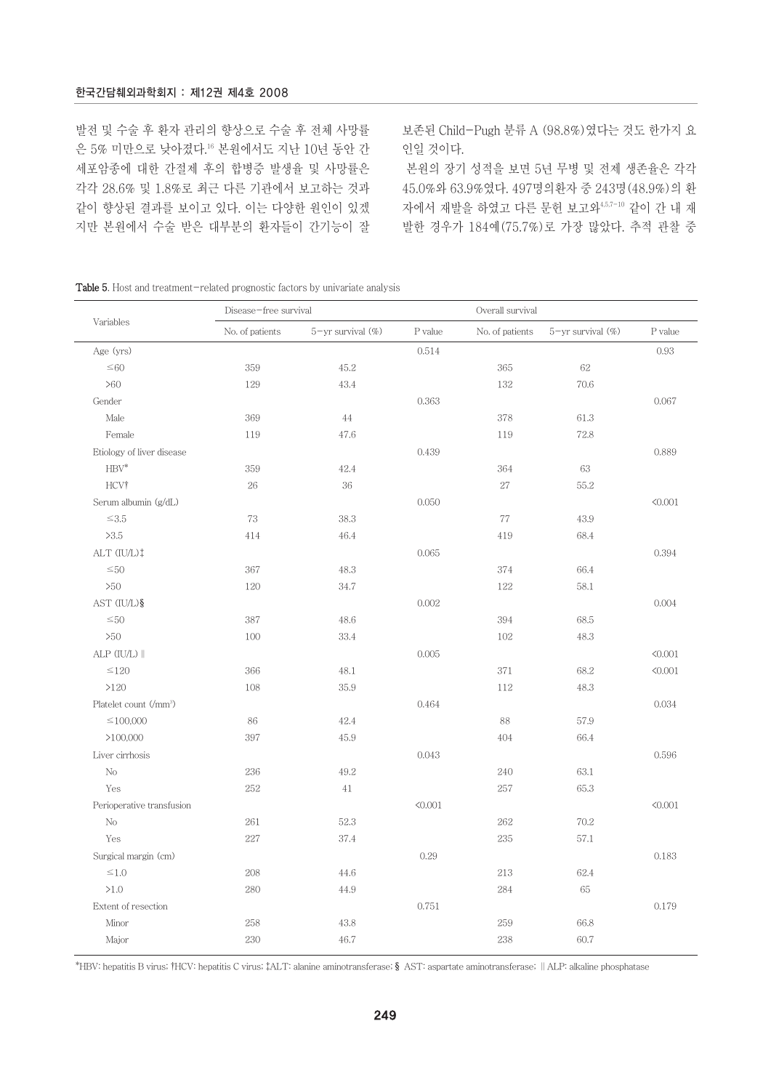발전 및 수술 후 환자 관리의 향상으로 수술 후 전체 사망률 은 5% 미만으로 낮아졌다.16 본원에서도 지난 10년 동안 간 세포암종에 대한 간절제 후의 합병증 발생율 및 사망률은 각각 28.6% 및 1.8%로 최근 다른 기관에서 보고하는 것과 같이 향상된 결과를 보이고 있다. 이는 다양한 원인이 있겠 지만 본원에서 수술 받은 대부분의 환자들이 간기능이 잘 보존된 Child-Pugh 분류 A (98.8%)였다는 것도 한가지 요 인일 것이다.

본원의 장기 성적을 보면 5년 무병 및 전제 생존율은 각각 45.0%와 63.9%였다. 497명의환자 중 243명(48.9%)의 환 자에서 재발을 하였고 다른 문헌 보고와4,5,7-10 같이 간 내 재 발한 경우가 184예(75.7%)로 가장 많았다. 추적 관찰 중

| <b>Table 5.</b> Host and treatment-related prognostic factors by univariate analysis |  |  |  |
|--------------------------------------------------------------------------------------|--|--|--|
|--------------------------------------------------------------------------------------|--|--|--|

|                                    | Disease-free survival |                   | Overall survival |                 |                          |         |
|------------------------------------|-----------------------|-------------------|------------------|-----------------|--------------------------|---------|
| Variables                          | No. of patients       | 5-yr survival (%) | P value          | No. of patients | $5 - yr$ survival $(\%)$ | P value |
| Age (yrs)                          |                       |                   | 0.514            |                 |                          | 0.93    |
| $\leq\!60$                         | 359                   | 45.2              |                  | 365             | $62\,$                   |         |
| >60                                | 129                   | 43.4              |                  | 132             | 70.6                     |         |
| Gender                             |                       |                   | 0.363            |                 |                          | 0.067   |
| Male                               | 369                   | 44                |                  | 378             | 61.3                     |         |
| Female                             | 119                   | 47.6              |                  | 119             | 72.8                     |         |
| Etiology of liver disease          |                       |                   | 0.439            |                 |                          | 0.889   |
| $HBV^*$                            | 359                   | 42.4              |                  | 364             | 63                       |         |
| HCV†                               | 26                    | 36                |                  | 27              | 55.2                     |         |
| Serum albumin (g/dL)               |                       |                   | 0.050            |                 |                          | < 0.001 |
| $\leq\!3.5$                        | 73                    | 38.3              |                  | 77              | 43.9                     |         |
| >3.5                               | 414                   | 46.4              |                  | 419             | 68.4                     |         |
| ALT (IU/L)‡                        |                       |                   | 0.065            |                 |                          | 0.394   |
| $\leq 50$                          | 367                   | 48.3              |                  | 374             | 66.4                     |         |
| >50                                | 120                   | 34.7              |                  | 122             | 58.1                     |         |
| AST (IU/L) §                       |                       |                   | 0.002            |                 |                          | 0.004   |
| $\leq 50$                          | 387                   | 48.6              |                  | 394             | 68.5                     |         |
| >50                                | 100                   | 33.4              |                  | 102             | 48.3                     |         |
| ALP (IU/L)                         |                       |                   | 0.005            |                 |                          | < 0.001 |
| $\leq$ 120                         | 366                   | 48.1              |                  | 371             | 68.2                     | < 0.001 |
| >120                               | 108                   | 35.9              |                  | 112             | 48.3                     |         |
| Platelet count (/mm <sup>3</sup> ) |                       |                   | 0.464            |                 |                          | 0.034   |
| $\leq$ 100,000                     | 86                    | 42.4              |                  | 88              | 57.9                     |         |
| >100,000                           | 397                   | 45.9              |                  | 404             | 66.4                     |         |
| Liver cirrhosis                    |                       |                   | 0.043            |                 |                          | 0.596   |
| No                                 | 236                   | 49.2              |                  | 240             | 63.1                     |         |
| Yes                                | 252                   | 41                |                  | 257             | 65.3                     |         |
| Perioperative transfusion          |                       |                   | < 0.001          |                 |                          | < 0.001 |
| $\rm No$                           | 261                   | 52.3              |                  | 262             | 70.2                     |         |
| Yes                                | 227                   | 37.4              |                  | 235             | 57.1                     |         |
| Surgical margin (cm)               |                       |                   | 0.29             |                 |                          | 0.183   |
| $\leq 1.0$                         | 208                   | 44.6              |                  | 213             | 62.4                     |         |
| $>1.0$                             | 280                   | 44.9              |                  | 284             | 65                       |         |
| Extent of resection                |                       |                   | 0.751            |                 |                          | 0.179   |
| Minor                              | 258                   | 43.8              |                  | 259             | 66.8                     |         |
| Major                              | 230                   | 46.7              |                  | 238             | 60.7                     |         |

\*HBV: hepatitis B virus; "HCV: hepatitis C virus; #ALT: alanine aminotransferase; §AST: aspartate aminotransferase; ‖ALP: alkaline phosphatase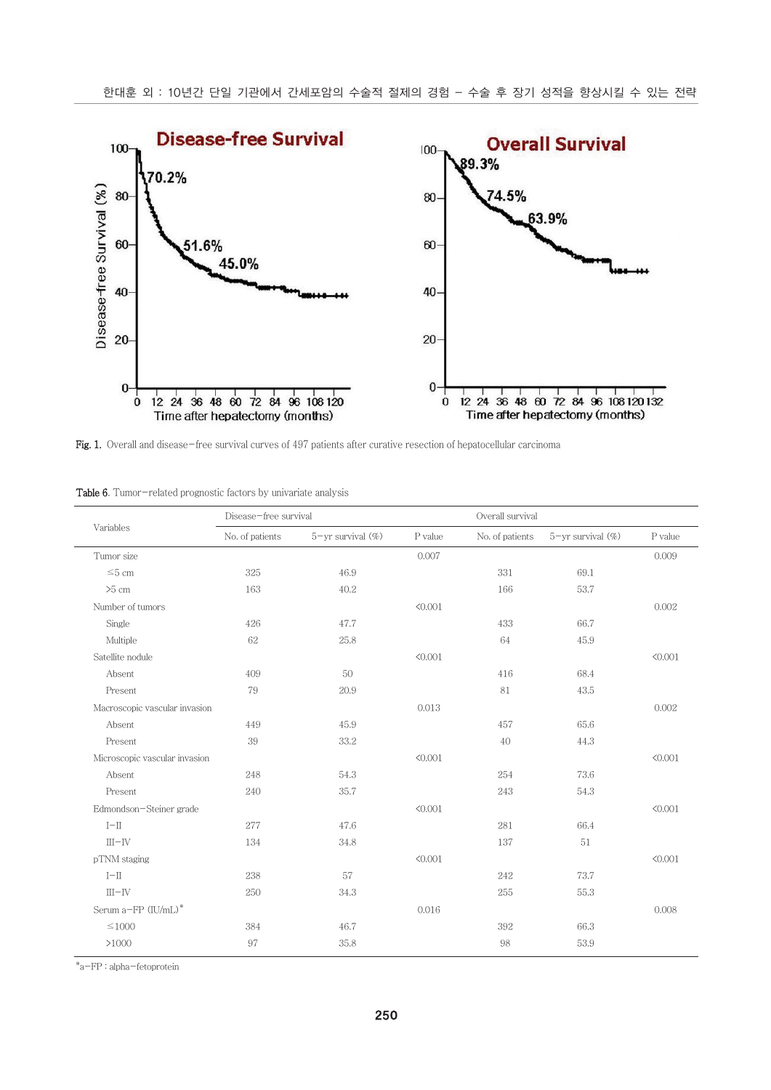

Fig. 1. Overall and disease-free survival curves of 497 patients after curative resection of hepatocellular carcinoma

|  | <b>Table 6.</b> Tumor-related prognostic factors by univariate analysis |  |  |  |
|--|-------------------------------------------------------------------------|--|--|--|

|                               | Disease-free survival |                          | Overall survival |                 |                         |         |
|-------------------------------|-----------------------|--------------------------|------------------|-----------------|-------------------------|---------|
| Variables                     | No. of patients       | $5 - yr$ survival $(\%)$ | P value          | No. of patients | $5$ -yr survival $(\%)$ | P value |
| Tumor size                    |                       |                          | 0.007            |                 |                         | 0.009   |
| $\leq 5$ cm                   | 325                   | 46.9                     |                  | 331             | 69.1                    |         |
| $>5$ cm                       | 163                   | 40.2                     |                  | 166             | 53.7                    |         |
| Number of tumors              |                       |                          | < 0.001          |                 |                         | 0.002   |
| Single                        | 426                   | 47.7                     |                  | 433             | 66.7                    |         |
| Multiple                      | 62                    | 25.8                     |                  | 64              | 45.9                    |         |
| Satellite nodule              |                       |                          | < 0.001          |                 |                         | < 0.001 |
| Absent                        | 409                   | 50                       |                  | 416             | 68.4                    |         |
| Present                       | 79                    | 20.9                     |                  | 81              | 43.5                    |         |
| Macroscopic vascular invasion |                       |                          | 0.013            |                 |                         | 0.002   |
| Absent                        | 449                   | 45.9                     |                  | 457             | 65.6                    |         |
| Present                       | 39                    | 33.2                     |                  | 40              | 44.3                    |         |
| Microscopic vascular invasion |                       |                          | < 0.001          |                 |                         | < 0.001 |
| Absent                        | 248                   | 54.3                     |                  | 254             | 73.6                    |         |
| Present                       | 240                   | 35.7                     |                  | 243             | 54.3                    |         |
| Edmondson-Steiner grade       |                       |                          | < 0.001          |                 |                         | < 0.001 |
| $I-II$                        | 277                   | 47.6                     |                  | 281             | 66.4                    |         |
| $III$ -IV                     | 134                   | 34.8                     |                  | 137             | 51                      |         |
| pTNM staging                  |                       |                          | < 0.001          |                 |                         | < 0.001 |
| $I-II$                        | 238                   | 57                       |                  | 242             | 73.7                    |         |
| $III$ -IV                     | 250                   | 34.3                     |                  | 255             | 55.3                    |         |
| Serum a-FP (IU/mL)*           |                       |                          | 0.016            |                 |                         | 0.008   |
| $\leq$ 1000                   | 384                   | 46.7                     |                  | 392             | 66.3                    |         |
| >1000                         | 97                    | 35.8                     |                  | 98              | 53.9                    |         |

\*a-FP : alpha-fetoprotein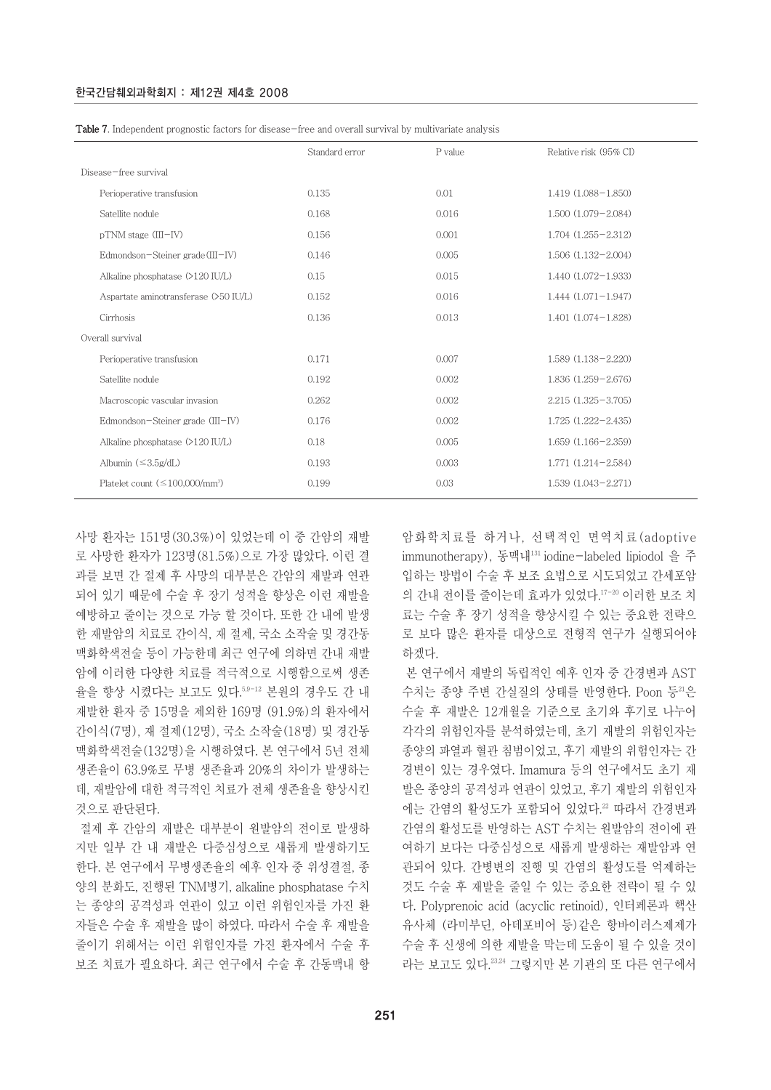| Table 7. Independent prognostic factors for disease-free and overall survival by multivariate analysis |  |  |  |  |  |
|--------------------------------------------------------------------------------------------------------|--|--|--|--|--|
|                                                                                                        |  |  |  |  |  |

|                                             | Standard error | P value | Relative risk (95% CI) |
|---------------------------------------------|----------------|---------|------------------------|
| Disease-free survival                       |                |         |                        |
| Perioperative transfusion                   | 0.135          | 0.01    | $1.419(1.088 - 1.850)$ |
| Satellite nodule                            | 0.168          | 0.016   | $1.500(1.079 - 2.084)$ |
| pTNM stage (III-IV)                         | 0.156          | 0.001   | $1.704(1.255 - 2.312)$ |
| Edmondson-Steiner grade (III-IV)            | 0.146          | 0.005   | $1.506(1.132 - 2.004)$ |
| Alkaline phosphatase (>120 IU/L)            | 0.15           | 0.015   | $1.440(1.072 - 1.933)$ |
| Aspartate aminotransferase (>50 IU/L)       | 0.152          | 0.016   | $1.444(1.071 - 1.947)$ |
| Cirrhosis                                   | 0.136          | 0.013   | $1.401(1.074 - 1.828)$ |
| Overall survival                            |                |         |                        |
| Perioperative transfusion                   | 0.171          | 0.007   | $1.589(1.138 - 2.220)$ |
| Satellite nodule                            | 0.192          | 0.002   | $1.836(1.259 - 2.676)$ |
| Macroscopic vascular invasion               | 0.262          | 0.002   | 2.215 (1.325-3.705)    |
| Edmondson-Steiner grade (III-IV)            | 0.176          | 0.002   | $1.725(1.222 - 2.435)$ |
| Alkaline phosphatase (>120 IU/L)            | 0.18           | 0.005   | $1.659(1.166 - 2.359)$ |
| Albumin $(\leq 3.5g/dL)$                    | 0.193          | 0.003   | $1.771(1.214 - 2.584)$ |
| Platelet count $(\leq 100.000/\text{mm}^3)$ | 0.199          | 0.03    | $1.539(1.043 - 2.271)$ |
|                                             |                |         |                        |

사망 환자는 151명(30.3%)이 있었는데 이 중 간암의 재발 로 사망한 환자가 123명(81.5%)으로 가장 많았다. 이런 결 과를 보면 간 절제 후 사망의 대부분은 간암의 재발과 연관 되어 있기 때문에 수술 후 장기 성적을 향상은 이런 재발을 예방하고 줄이는 것으로 가능 할 것이다. 또한 간 내에 발생 한 재발암의 치료로 간이식, 재 절제, 국소 소작술 및 경간동 맥화학색전술 등이 가능한데 최근 연구에 의하면 간내 재발 암에 이러한 다양한 치료를 적극적으로 시행함으로써 생존 율을 향상 시켰다는 보고도 있다.5,9-12 본원의 경우도 간 내 재발한 환자 중 15명을 제외한 169명 (91.9%)의 환자에서 간이식(7명), 재 절제(12명), 국소 소작술(18명) 및 경간동 맥화학색전술(132명)을 시행하였다. 본 연구에서 5년 전체 생존율이 63.9%로 무병 생존율과 20%의 차이가 발생하는 데, 재발암에 대한 적극적인 치료가 전체 생존율을 향상시킨 것으로 판단된다.

절제 후 간암의 재발은 대부분이 원발암의 전이로 발생하 지만 일부 간 내 재발은 다중심성으로 새롭게 발생하기도 한다. 본 연구에서 무병생존율의 예후 인자 중 위성결절, 종 양의 분화도, 진행된 TNM병기, alkaline phosphatase 수치 는 종양의 공격성과 연관이 있고 이런 위험인자를 가진 환 자들은 수술 후 재발을 많이 하였다. 따라서 수술 후 재발을 줄이기 위해서는 이런 위험인자를 가진 환자에서 수술 후 보조 치료가 필요하다. 최근 연구에서 수술 후 간동맥내 항 암화학치료를 하거나, 선택적인 면역치료(adoptive immunotherapy), 동맥내131 iodine-labeled lipiodol 을 주 입하는 방법이 수술 후 보조 요법으로 시도되었고 간세포암 의 간내 전이를 줄이는데 효과가 있었다.17-20 이러한 보조 치 료는 수술 후 장기 성적을 향상시킬 수 있는 중요한 전략으 로 보다 많은 환자를 대상으로 전형적 연구가 실행되어야 하겠다.

본 연구에서 재발의 독립적인 예후 인자 중 간경변과 AST 수치는 종양 주변 간실질의 상태를 반영한다. Poon 등 20 수술 후 재발은 12개월을 기준으로 초기와 후기로 나누어 각각의 위험인자를 분석하였는데, 초기 재발의 위험인자는 종양의 파열과 혈관 침범이었고, 후기 재발의 위험인자는 간 경변이 있는 경우였다. Imamura 등의 연구에서도 초기 재 발은 종양의 공격성과 연관이 있었고, 후기 재발의 위험인자 에는 간염의 활성도가 포함되어 있었다.22 따라서 간경변과 간염의 활성도를 반영하는 AST 수치는 원발암의 전이에 관 여하기 보다는 다중심성으로 새롭게 발생하는 재발암과 연 관되어 있다. 간병변의 진행 및 간염의 활성도를 억제하는 것도 수술 후 재발을 줄일 수 있는 중요한 전략이 될 수 있 다. Polyprenoic acid (acyclic retinoid), 인터페론과 핵산 유사체 (라미부딘, 아데포비어 등)같은 항바이러스제제가 수술 후 신생에 의한 재발을 막는데 도움이 될 수 있을 것이 라는 보고도 있다.23,24 그렇지만 본 기관의 또 다른 연구에서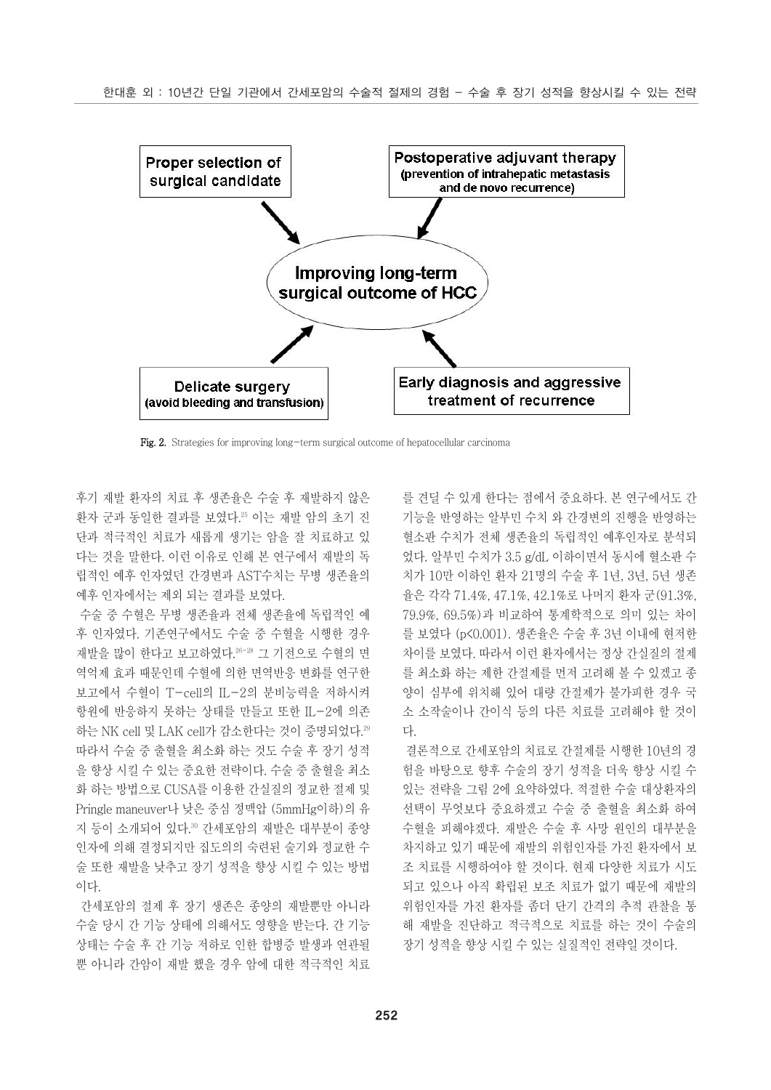

Fig. 2. Strategies for improving long-term surgical outcome of hepatocellular carcinoma

후기 재발 환자의 치료 후 생존율은 수술 후 재발하지 않은 환자 군과 동일한 결과를 보였다.25 이는 재발 암의 초기 진 단과 적극적인 치료가 새롭게 생기는 암을 잘 치료하고 있 다는 것을 말한다. 이런 이유로 인해 본 연구에서 재발의 독 립적인 예후 인자였던 간경변과 AST수치는 무병 생존율의 예후 인자에서는 제외 되는 결과를 보였다.

수술 중 수혈은 무병 생존율과 전체 생존율에 독립적인 예 후 인자였다. 기존연구에서도 수술 중 수혈을 시행한 경우 재발을 많이 한다고 보고하였다.26-28 그 기전으로 수혈의 면 역억제 효과 때문인데 수혈에 의한 면역반응 변화를 연구한 보고에서 수혈이 T-cell의 IL-2의 분비능력을 저하시켜 항원에 반응하지 못하는 상태를 만들고 또한 IL-2에 의존 하는 NK cell 및 LAK cell가 감소한다는 것이 증명되었다.<sup>29</sup> 따라서 수술 중 출혈을 최소화 하는 것도 수술 후 장기 성적 을 향상 시킬 수 있는 중요한 전략이다. 수술 중 출혈을 최소 화 하는 방법으로 CUSA를 이용한 간실질의 정교한 절제 및 Pringle maneuver나 낮은 중심 정맥압 (5mmHg이하)의 유 지 등이 소개되어 있다.30 간세포암의 재발은 대부분이 종양 인자에 의해 결정되지만 집도의의 숙련된 술기와 정교한 수 술 또한 재발을 낮추고 장기 성적을 향상 시킬 수 있는 방법 이다.

간세포암의 절제 후 장기 생존은 종양의 재발뿐만 아니라 수술 당시 간 기능 상태에 의해서도 영향을 받는다. 간 기능 상태는 수술 후 간 기능 저하로 인한 합병증 발생과 연관될 뿐 아니라 간암이 재발 했을 경우 암에 대한 적극적인 치료

를 견딜 수 있게 한다는 점에서 중요하다. 본 연구에서도 간 기능을 반영하는 알부민 수치 와 간경변의 진행을 반영하는 혈소판 수치가 전체 생존율의 독립적인 예후인자로 분석되 었다. 알부민 수치가 3.5 g/dL 이하이면서 동시에 혈소판 수 치가 10만 이하인 환자 21명의 수술 후 1년, 3년, 5년 생존 율은 각각 71.4%, 47.1%, 42.1%로 나머지 환자 군(91.3%, 79.9%, 69.5%)과 비교하여 통계학적으로 의미 있는 차이 를 보였다 (p<0.001). 생존율은 수술 후 3년 이내에 현저한 차이를 보였다. 따라서 이런 환자에서는 정상 간실질의 절제 를 최소화 하는 제한 간절제를 먼저 고려해 볼 수 있겠고 종 양이 심부에 위치해 있어 대량 간절제가 불가피한 경우 국 소 소작술이나 간이식 등의 다른 치료를 고려해야 할 것이 다.

결론적으로 간세포암의 치료로 간절제를 시행한 10년의 경 험을 바탕으로 향후 수술의 장기 성적을 더욱 향상 시킬 수 있는 전략을 그림 2에 요약하였다. 적절한 수술 대상환자의 선택이 무엇보다 중요하겠고 수술 중 출혈을 최소화 하여 수혈을 피해야겠다. 재발은 수술 후 사망 원인의 대부분을 차지하고 있기 때문에 재발의 위험인자를 가진 환자에서 보 조 치료를 시행하여야 할 것이다. 현재 다양한 치료가 시도 되고 있으나 아직 확립된 보조 치료가 없기 때문에 재발의 위험인자를 가진 환자를 좀더 단기 간격의 추적 관찰을 통 해 재발을 진단하고 적극적으로 치료를 하는 것이 수술의 장기 성적을 향상 시킬 수 있는 실질적인 전략일 것이다.